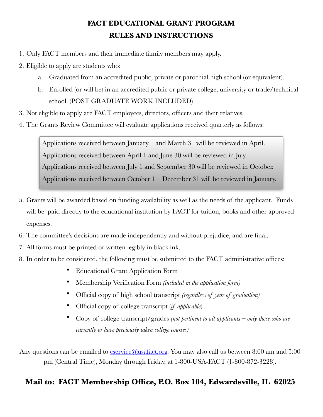# **FACT EDUCATIONAL GRANT PROGRAM RULES AND INSTRUCTIONS**

- 1. Only FACT members and their immediate family members may apply.
- 2. Eligible to apply are students who:
	- a. Graduated from an accredited public, private or parochial high school (or equivalent).
	- b. Enrolled (or will be) in an accredited public or private college, university or trade/technical school. (POST GRADUATE WORK INCLUDED)
- 3. Not eligible to apply are FACT employees, directors, officers and their relatives.
- 4. The Grants Review Committee will evaluate applications received quarterly as follows:

Applications received between January 1 and March 31 will be reviewed in April. Applications received between April 1 and June 30 will be reviewed in July. Applications received between July 1 and September 30 will be reviewed in October. Applications received between October 1 – December 31 will be reviewed in January.

- 5. Grants will be awarded based on funding availability as well as the needs of the applicant. Funds will be paid directly to the educational institution by FACT for tuition, books and other approved expenses.
- 6. The committee's decisions are made independently and without prejudice, and are final.
- 7. All forms must be printed or written legibly in black ink.
- 8. In order to be considered, the following must be submitted to the FACT administrative offices:
	- Educational Grant Application Form
	- Membership Verification Form *(included in the application form)*
	- Official copy of high school transcript *(regardless of year of graduation)*
	- Official copy of college transcript (*if applicable*)
	- Copy of college transcript/grades *(not pertinent to all applicants only those who are currently or have previously taken college courses)*

Any questions can be emailed to [cservice@usafact.org.](mailto:cservice@usafact.org) You may also call us between 8:00 am and 5:00 pm (Central Time), Monday through Friday, at 1-800-USA-FACT (1-800-872-3228).

# **Mail to: FACT Membership Office, P.O. Box 104, Edwardsville, IL 62025**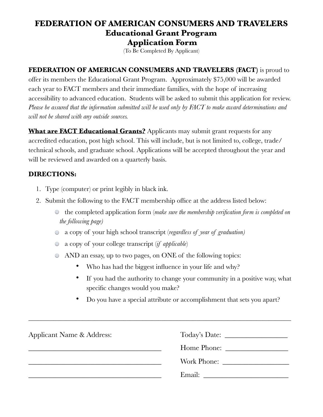## **FEDERATION OF AMERICAN CONSUMERS AND TRAVELERS Educational Grant Program Application Form**

(To Be Completed By Applicant)

#### **FEDERATION OF AMERICAN CONSUMERS AND TRAVELERS (FACT)** is proud to

offer its members the Educational Grant Program. Approximately \$75,000 will be awarded each year to FACT members and their immediate families, with the hope of increasing accessibility to advanced education. Students will be asked to submit this application for review. *Please be assured that the information submitted will be used only by FACT to make award determinations and will not be shared with any outside sources.* 

**What are FACT Educational Grants?** Applicants may submit grant requests for any accredited education, post high school. This will include, but is not limited to, college, trade/ technical schools, and graduate school. Applications will be accepted throughout the year and will be reviewed and awarded on a quarterly basis.

#### **DIRECTIONS:**

- 1. Type (computer) or print legibly in black ink.
- 2. Submit the following to the FACT membership office at the address listed below:
	- the completed application form (*make sure the membership verification form is completed on the following page)*
	- a copy of your high school transcript (*regardless of year of graduation)*
	- a copy of your college transcript (*if applicable*)
	- AND an essay, up to two pages, on ONE of the following topics:
		- Who has had the biggest influence in your life and why?
		- If you had the authority to change your community in a positive way, what specific changes would you make?
		- Do you have a special attribute or accomplishment that sets you apart?

| Applicant Name & Address: |             |
|---------------------------|-------------|
|                           | Home Phone: |
|                           | Work Phone: |
|                           | Email:      |

\_\_\_\_\_\_\_\_\_\_\_\_\_\_\_\_\_\_\_\_\_\_\_\_\_\_\_\_\_\_\_\_\_\_\_\_\_\_\_\_\_\_\_\_\_\_\_\_\_\_\_\_\_\_\_\_\_\_\_\_\_\_\_\_\_\_\_\_\_\_\_\_\_\_\_\_\_\_\_\_\_\_\_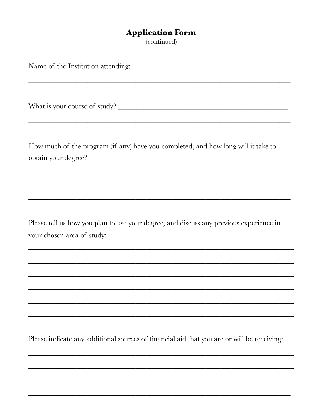## **Application Form**

(continued)

How much of the program (if any) have you completed, and how long will it take to obtain your degree? Please tell us how you plan to use your degree, and discuss any previous experience in your chosen area of study:

Please indicate any additional sources of financial aid that you are or will be receiving: